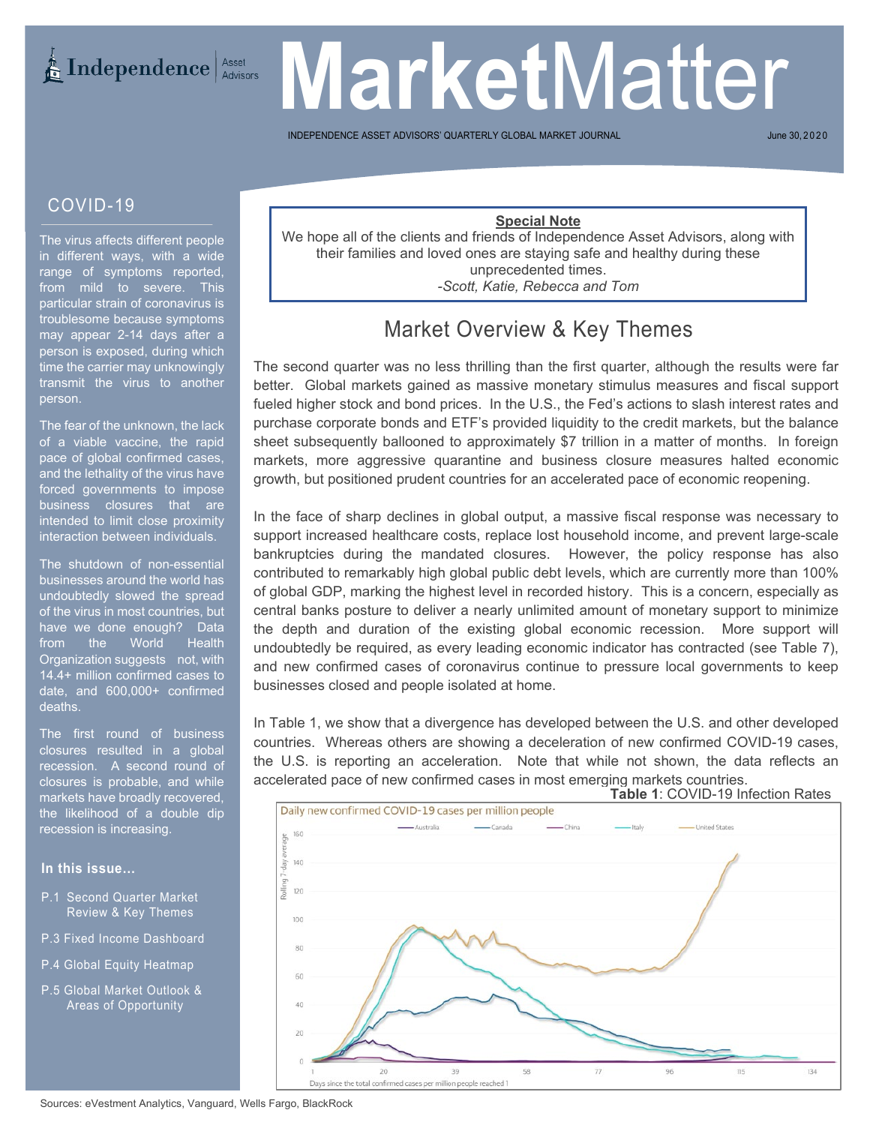# **Market** Matter

INDEPENDENCE ASSET ADVISORS' QUARTERLY GLOBAL MARKET

June 30, 2020

#### COVID-19

The virus affects different people in different ways, with a wide range of symptoms reported, from mild to severe. This particular strain of coronavirus is troublesome because symptoms may appear 2-14 days after a person is exposed, during which time the carrier may unknowingly transmit the virus to another person.

The fear of the unknown, the lack of a viable vaccine, the rapid pace of global confirmed cases, and the lethality of the virus have forced governments to impose business closures that are intended to limit close proximity interaction between individuals.

The shutdown of non-essential businesses around the world has undoubtedly slowed the spread of the virus in most countries, but have we done enough? Data<br>from the World Health from the World Health Organization suggests not, with 14.4+ million confirmed cases to date, and 600,000+ confirmed deaths.

the likelihood of a double dip<br>recession.is.increasing The first round of business closures resulted in a global recession. A second round of closures is probable, and while markets have broadly recovered, recession is increasing.

#### **In this issue…**

- P.1 Second Quarter Market Review & Key Themes
- P.3 Fixed Income Dashboard
- P.4 Global Equity Heatmap
- P.5 Global Market Outlook & Areas of Opportunity

#### **Special Note**

We hope all of the clients and friends of Independence Asset Advisors, along with their families and loved ones are staying safe and healthy during these unprecedented times. *-Scott, Katie, Rebecca and Tom*

## Market Overview & Key Themes

The second quarter was no less thrilling than the first quarter, although the results were far better. Global markets gained as massive monetary stimulus measures and fiscal support fueled higher stock and bond prices. In the U.S., the Fed's actions to slash interest rates and purchase corporate bonds and ETF's provided liquidity to the credit markets, but the balance sheet subsequently ballooned to approximately \$7 trillion in a matter of months. In foreign markets, more aggressive quarantine and business closure measures halted economic growth, but positioned prudent countries for an accelerated pace of economic reopening.

In the face of sharp declines in global output, a massive fiscal response was necessary to support increased healthcare costs, replace lost household income, and prevent large-scale bankruptcies during the mandated closures. However, the policy response has also contributed to remarkably high global public debt levels, which are currently more than 100% of global GDP, marking the highest level in recorded history. This is a concern, especially as central banks posture to deliver a nearly unlimited amount of monetary support to minimize the depth and duration of the existing global economic recession. More support will undoubtedly be required, as every leading economic indicator has contracted (see Table 7), and new confirmed cases of coronavirus continue to pressure local governments to keep businesses closed and people isolated at home.

In Table 1, we show that a divergence has developed between the U.S. and other developed countries. Whereas others are showing a deceleration of new confirmed COVID-19 cases, the U.S. is reporting an acceleration. Note that while not shown, the data reflects an accelerated pace of new confirmed cases in most emerging markets countries.

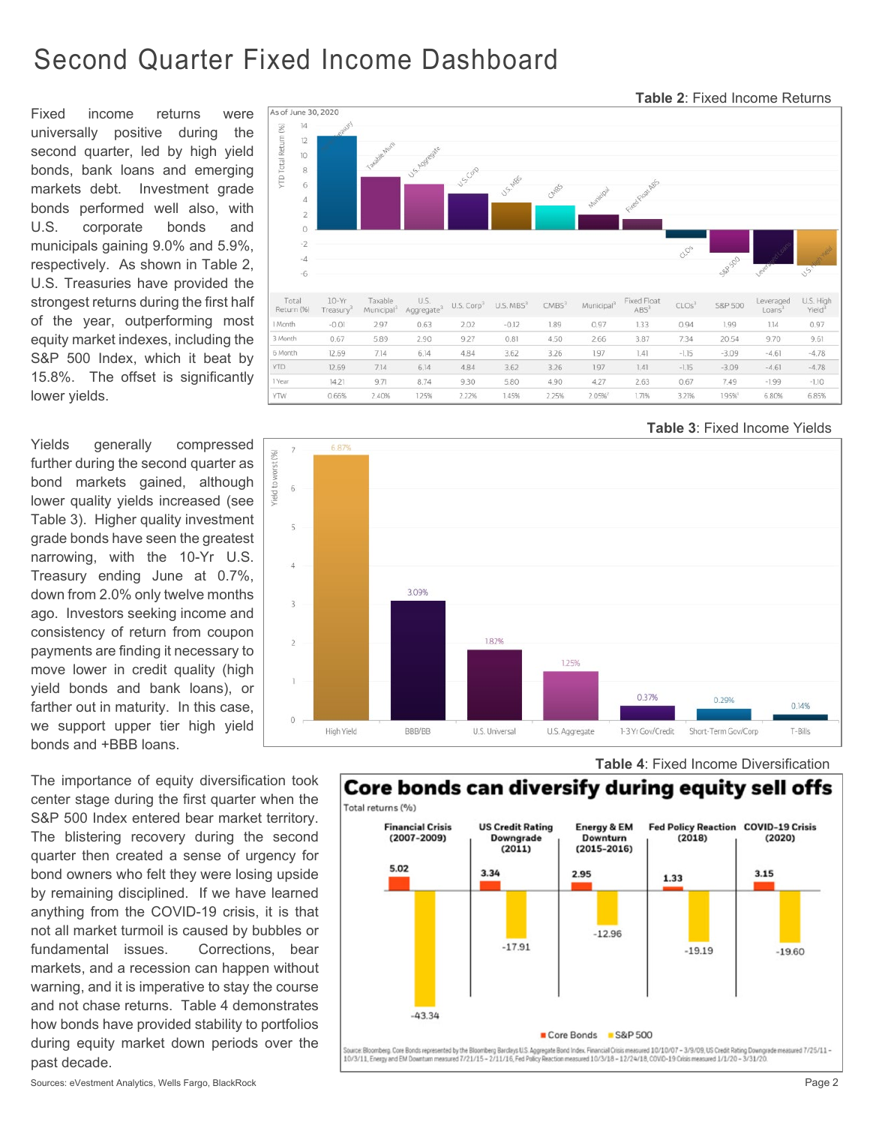## Second Quarter Fixed Income Dashboard

Fixed income returns were universally positive during the second quarter, led by high yield bonds, bank loans and emerging markets debt. Investment grade bonds performed well also, with U.S. corporate bonds and municipals gaining 9.0% and 5.9%, respectively. As shown in Table 2, U.S. Treasuries have provided the strongest returns during the first half of the year, outperforming most equity market indexes, including the S&P 500 Index, which it beat by 15.8%. The offset is significantly lower yields.

Yields generally compressed further during the second quarter as bond markets gained, although lower quality yields increased (see Table 3). Higher quality investment grade bonds have seen the greatest narrowing, with the 10-Yr U.S. Treasury ending June at 0.7%, down from 2.0% only twelve months ago. Investors seeking income and consistency of return from coupon payments are finding it necessary to move lower in credit quality (high yield bonds and bank loans), or farther out in maturity. In this case, we support upper tier high yield bonds and +BBB loans.

The importance of equity diversification took center stage during the first quarter when the S&P 500 Index entered bear market territory. The blistering recovery during the second quarter then created a sense of urgency for bond owners who felt they were losing upside by remaining disciplined. If we have learned anything from the COVID-19 crisis, it is that not all market turmoil is caused by bubbles or fundamental issues. Corrections, bear markets, and a recession can happen without warning, and it is imperative to stay the course and not chase returns. Table 4 demonstrates how bonds have provided stability to portfolios during equity market down periods over the past decade.



 **Table 3**: Fixed Income Yields

 **Table 2**: Fixed Income Returns





 **Table 4**: Fixed Income Diversification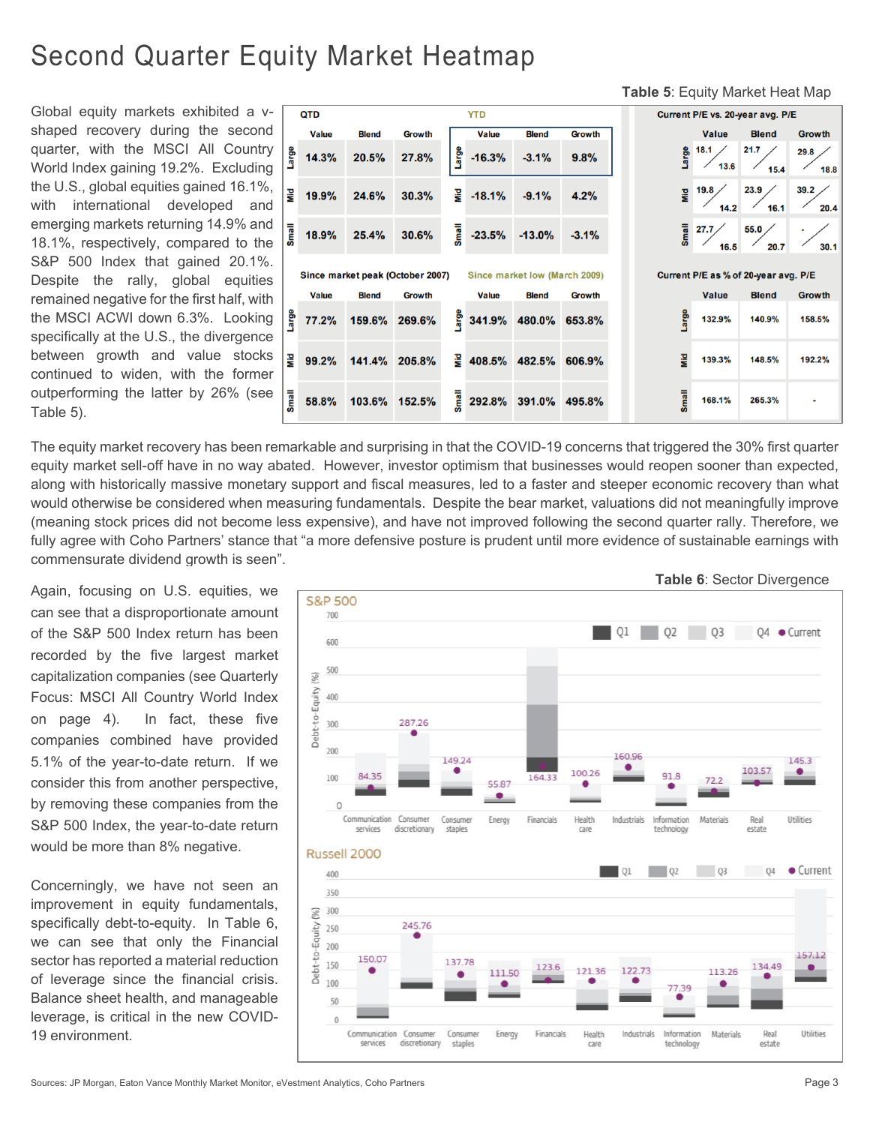# Second Quarter Equity Market Heatmap

Global equity markets exhibited a vshaped recovery during the second quarter, with the MSCI All Country World Index gaining 19.2%. Excluding the U.S., global equities gained 16.1%, with international developed and emerging markets returning 14.9% and 18.1%, respectively, compared to the S&P 500 Index that gained 20.1%. Despite the rally, global equities remained negative for the first half, with the MSCI ACWI down 6.3%. Looking specifically at the U.S., the divergence between growth and value stocks continued to widen, with the former outperforming the latter by 26% (see Table 5).



The equity market recovery has been remarkable and surprising in that the COVID-19 concerns that triggered the 30% first quarter equity market sell-off have in no way abated. However, investor optimism that businesses would reopen sooner than expected, along with historically massive monetary support and fiscal measures, led to a faster and steeper economic recovery than what would otherwise be considered when measuring fundamentals. Despite the bear market, valuations did not meaningfully improve (meaning stock prices did not become less expensive), and have not improved following the second quarter rally. Therefore, we fully agree with Coho Partners' stance that "a more defensive posture is prudent until more evidence of sustainable earnings with commensurate dividend growth is seen".

Again, focusing on U.S. equities, we can see that a disproportionate amount of the S&P 500 Index return has been recorded by the five largest market capitalization companies (see Quarterly Focus: MSCI All Country World Index on page 4). In fact, these five companies combined have provided 5.1% of the year-to-date return. If we consider this from another perspective, by removing these companies from the S&P 500 Index, the year-to-date return would be more than 8% negative.

Concerningly, we have not seen an improvement in equity fundamentals, specifically debt-to-equity. In Table 6, we can see that only the Financial sector has reported a material reduction of leverage since the financial crisis. Balance sheet health, and manageable leverage, is critical in the new COVID-19 environment.



 **Table 5**: Equity Market Heat Map